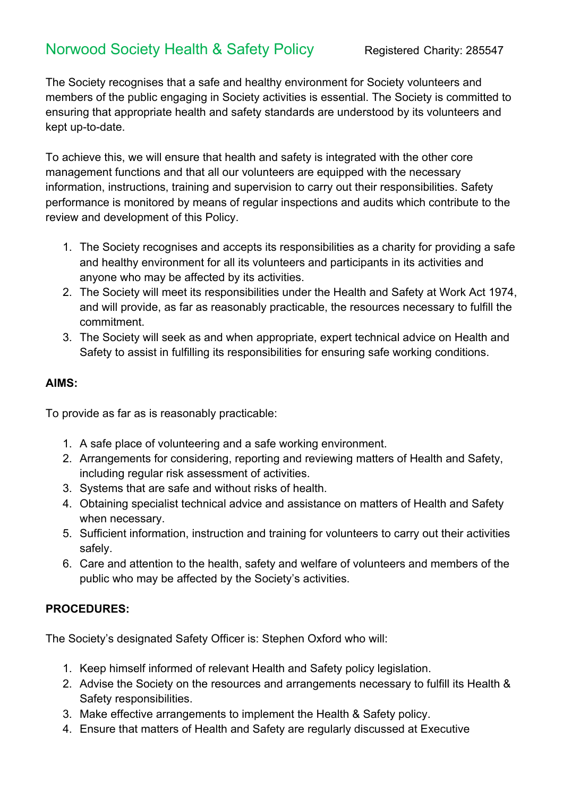## Norwood Society Health & Safety Policy Registered Charity: 285547

The Society recognises that a safe and healthy environment for Society volunteers and members of the public engaging in Society activities is essential. The Society is committed to ensuring that appropriate health and safety standards are understood by its volunteers and kept up-to-date.

To achieve this, we will ensure that health and safety is integrated with the other core management functions and that all our volunteers are equipped with the necessary information, instructions, training and supervision to carry out their responsibilities. Safety performance is monitored by means of regular inspections and audits which contribute to the review and development of this Policy.

- 1. The Society recognises and accepts its responsibilities as a charity for providing a safe and healthy environment for all its volunteers and participants in its activities and anyone who may be affected by its activities.
- 2. The Society will meet its responsibilities under the Health and Safety at Work Act 1974, and will provide, as far as reasonably practicable, the resources necessary to fulfill the commitment.
- 3. The Society will seek as and when appropriate, expert technical advice on Health and Safety to assist in fulfilling its responsibilities for ensuring safe working conditions.

## **AIMS:**

To provide as far as is reasonably practicable:

- 1. A safe place of volunteering and a safe working environment.
- 2. Arrangements for considering, reporting and reviewing matters of Health and Safety, including regular risk assessment of activities.
- 3. Systems that are safe and without risks of health.
- 4. Obtaining specialist technical advice and assistance on matters of Health and Safety when necessary.
- 5. Sufficient information, instruction and training for volunteers to carry out their activities safely.
- 6. Care and attention to the health, safety and welfare of volunteers and members of the public who may be affected by the Society's activities.

## **PROCEDURES:**

The Society's designated Safety Officer is: Stephen Oxford who will:

- 1. Keep himself informed of relevant Health and Safety policy legislation.
- 2. Advise the Society on the resources and arrangements necessary to fulfill its Health & Safety responsibilities.
- 3. Make effective arrangements to implement the Health & Safety policy.
- 4. Ensure that matters of Health and Safety are regularly discussed at Executive